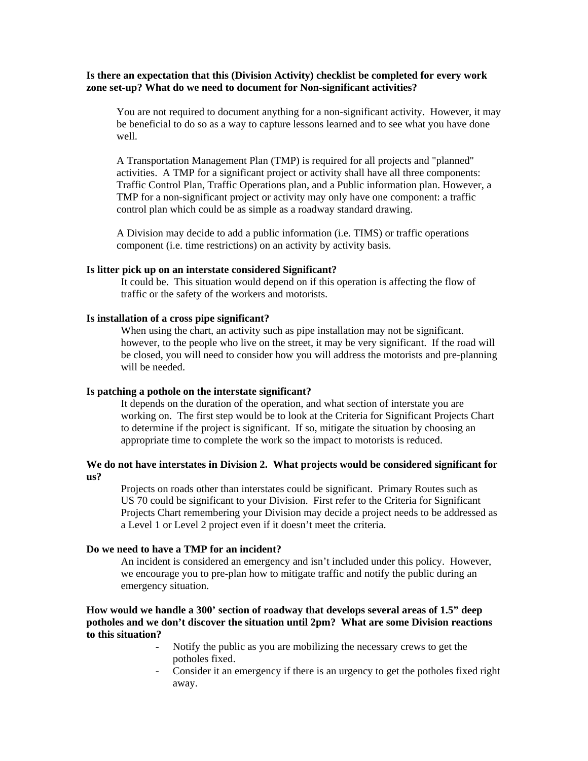#### **Is there an expectation that this (Division Activity) checklist be completed for every work zone set-up? What do we need to document for Non-significant activities?**

You are not required to document anything for a non-significant activity. However, it may be beneficial to do so as a way to capture lessons learned and to see what you have done well.

A Transportation Management Plan (TMP) is required for all projects and "planned" activities. A TMP for a significant project or activity shall have all three components: Traffic Control Plan, Traffic Operations plan, and a Public information plan. However, a TMP for a non-significant project or activity may only have one component: a traffic control plan which could be as simple as a roadway standard drawing.

A Division may decide to add a public information (i.e. TIMS) or traffic operations component (i.e. time restrictions) on an activity by activity basis.

# **Is litter pick up on an interstate considered Significant?**

It could be. This situation would depend on if this operation is affecting the flow of traffic or the safety of the workers and motorists.

#### **Is installation of a cross pipe significant?**

When using the chart, an activity such as pipe installation may not be significant. however, to the people who live on the street, it may be very significant. If the road will be closed, you will need to consider how you will address the motorists and pre-planning will be needed.

#### **Is patching a pothole on the interstate significant?**

It depends on the duration of the operation, and what section of interstate you are working on. The first step would be to look at the Criteria for Significant Projects Chart to determine if the project is significant. If so, mitigate the situation by choosing an appropriate time to complete the work so the impact to motorists is reduced.

# **We do not have interstates in Division 2. What projects would be considered significant for us?**

Projects on roads other than interstates could be significant. Primary Routes such as US 70 could be significant to your Division. First refer to the Criteria for Significant Projects Chart remembering your Division may decide a project needs to be addressed as a Level 1 or Level 2 project even if it doesn't meet the criteria.

# **Do we need to have a TMP for an incident?**

An incident is considered an emergency and isn't included under this policy. However, we encourage you to pre-plan how to mitigate traffic and notify the public during an emergency situation.

## **How would we handle a 300' section of roadway that develops several areas of 1.5" deep potholes and we don't discover the situation until 2pm? What are some Division reactions to this situation?**

- Notify the public as you are mobilizing the necessary crews to get the potholes fixed.
- Consider it an emergency if there is an urgency to get the potholes fixed right away.